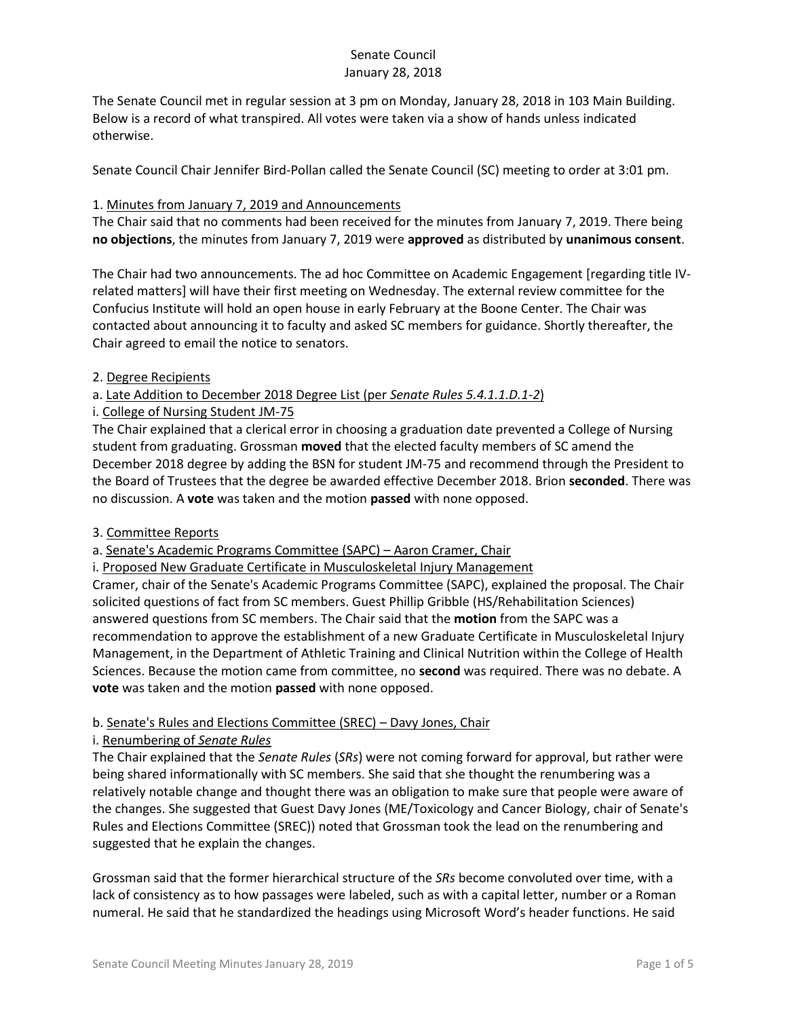The Senate Council met in regular session at 3 pm on Monday, January 28, 2018 in 103 Main Building. Below is a record of what transpired. All votes were taken via a show of hands unless indicated otherwise.

Senate Council Chair Jennifer Bird-Pollan called the Senate Council (SC) meeting to order at 3:01 pm.

## 1. Minutes from January 7, 2019 and Announcements

The Chair said that no comments had been received for the minutes from January 7, 2019. There being **no objections**, the minutes from January 7, 2019 were **approved** as distributed by **unanimous consent**.

The Chair had two announcements. The ad hoc Committee on Academic Engagement [regarding title IVrelated matters] will have their first meeting on Wednesday. The external review committee for the Confucius Institute will hold an open house in early February at the Boone Center. The Chair was contacted about announcing it to faculty and asked SC members for guidance. Shortly thereafter, the Chair agreed to email the notice to senators.

# 2. Degree Recipients

# a. Late Addition to December 2018 Degree List (per *Senate Rules 5.4.1.1.D.1-2*)

i. College of Nursing Student JM-75

The Chair explained that a clerical error in choosing a graduation date prevented a College of Nursing student from graduating. Grossman **moved** that the elected faculty members of SC amend the December 2018 degree by adding the BSN for student JM-75 and recommend through the President to the Board of Trustees that the degree be awarded effective December 2018. Brion **seconded**. There was no discussion. A **vote** was taken and the motion **passed** with none opposed.

### 3. Committee Reports

a. Senate's Academic Programs Committee (SAPC) – Aaron Cramer, Chair

i. Proposed New Graduate Certificate in Musculoskeletal Injury Management

Cramer, chair of the Senate's Academic Programs Committee (SAPC), explained the proposal. The Chair solicited questions of fact from SC members. Guest Phillip Gribble (HS/Rehabilitation Sciences) answered questions from SC members. The Chair said that the **motion** from the SAPC was a recommendation to approve the establishment of a new Graduate Certificate in Musculoskeletal Injury Management, in the Department of Athletic Training and Clinical Nutrition within the College of Health Sciences. Because the motion came from committee, no **second** was required. There was no debate. A **vote** was taken and the motion **passed** with none opposed.

# b. Senate's Rules and Elections Committee (SREC) – Davy Jones, Chair

### i. Renumbering of *Senate Rules*

The Chair explained that the *Senate Rules* (*SRs*) were not coming forward for approval, but rather were being shared informationally with SC members. She said that she thought the renumbering was a relatively notable change and thought there was an obligation to make sure that people were aware of the changes. She suggested that Guest Davy Jones (ME/Toxicology and Cancer Biology, chair of Senate's Rules and Elections Committee (SREC)) noted that Grossman took the lead on the renumbering and suggested that he explain the changes.

Grossman said that the former hierarchical structure of the *SRs* become convoluted over time, with a lack of consistency as to how passages were labeled, such as with a capital letter, number or a Roman numeral. He said that he standardized the headings using Microsoft Word's header functions. He said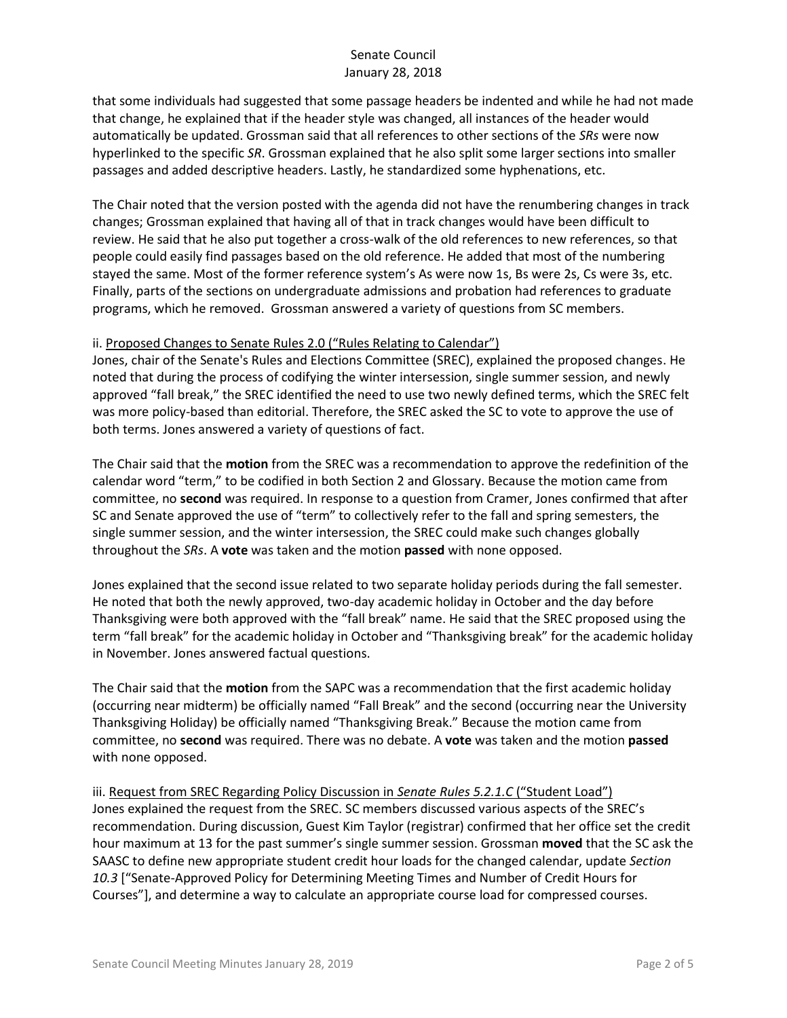that some individuals had suggested that some passage headers be indented and while he had not made that change, he explained that if the header style was changed, all instances of the header would automatically be updated. Grossman said that all references to other sections of the *SRs* were now hyperlinked to the specific *SR*. Grossman explained that he also split some larger sections into smaller passages and added descriptive headers. Lastly, he standardized some hyphenations, etc.

The Chair noted that the version posted with the agenda did not have the renumbering changes in track changes; Grossman explained that having all of that in track changes would have been difficult to review. He said that he also put together a cross-walk of the old references to new references, so that people could easily find passages based on the old reference. He added that most of the numbering stayed the same. Most of the former reference system's As were now 1s, Bs were 2s, Cs were 3s, etc. Finally, parts of the sections on undergraduate admissions and probation had references to graduate programs, which he removed. Grossman answered a variety of questions from SC members.

# ii. Proposed Changes to Senate Rules 2.0 ("Rules Relating to Calendar")

Jones, chair of the Senate's Rules and Elections Committee (SREC), explained the proposed changes. He noted that during the process of codifying the winter intersession, single summer session, and newly approved "fall break," the SREC identified the need to use two newly defined terms, which the SREC felt was more policy-based than editorial. Therefore, the SREC asked the SC to vote to approve the use of both terms. Jones answered a variety of questions of fact.

The Chair said that the **motion** from the SREC was a recommendation to approve the redefinition of the calendar word "term," to be codified in both Section 2 and Glossary. Because the motion came from committee, no **second** was required. In response to a question from Cramer, Jones confirmed that after SC and Senate approved the use of "term" to collectively refer to the fall and spring semesters, the single summer session, and the winter intersession, the SREC could make such changes globally throughout the *SRs*. A **vote** was taken and the motion **passed** with none opposed.

Jones explained that the second issue related to two separate holiday periods during the fall semester. He noted that both the newly approved, two-day academic holiday in October and the day before Thanksgiving were both approved with the "fall break" name. He said that the SREC proposed using the term "fall break" for the academic holiday in October and "Thanksgiving break" for the academic holiday in November. Jones answered factual questions.

The Chair said that the **motion** from the SAPC was a recommendation that the first academic holiday (occurring near midterm) be officially named "Fall Break" and the second (occurring near the University Thanksgiving Holiday) be officially named "Thanksgiving Break." Because the motion came from committee, no **second** was required. There was no debate. A **vote** was taken and the motion **passed**  with none opposed.

iii. Request from SREC Regarding Policy Discussion in *Senate Rules 5.2.1.C* ("Student Load") Jones explained the request from the SREC. SC members discussed various aspects of the SREC's recommendation. During discussion, Guest Kim Taylor (registrar) confirmed that her office set the credit hour maximum at 13 for the past summer's single summer session. Grossman **moved** that the SC ask the SAASC to define new appropriate student credit hour loads for the changed calendar, update *Section 10.3* ["Senate-Approved Policy for Determining Meeting Times and Number of Credit Hours for Courses"], and determine a way to calculate an appropriate course load for compressed courses.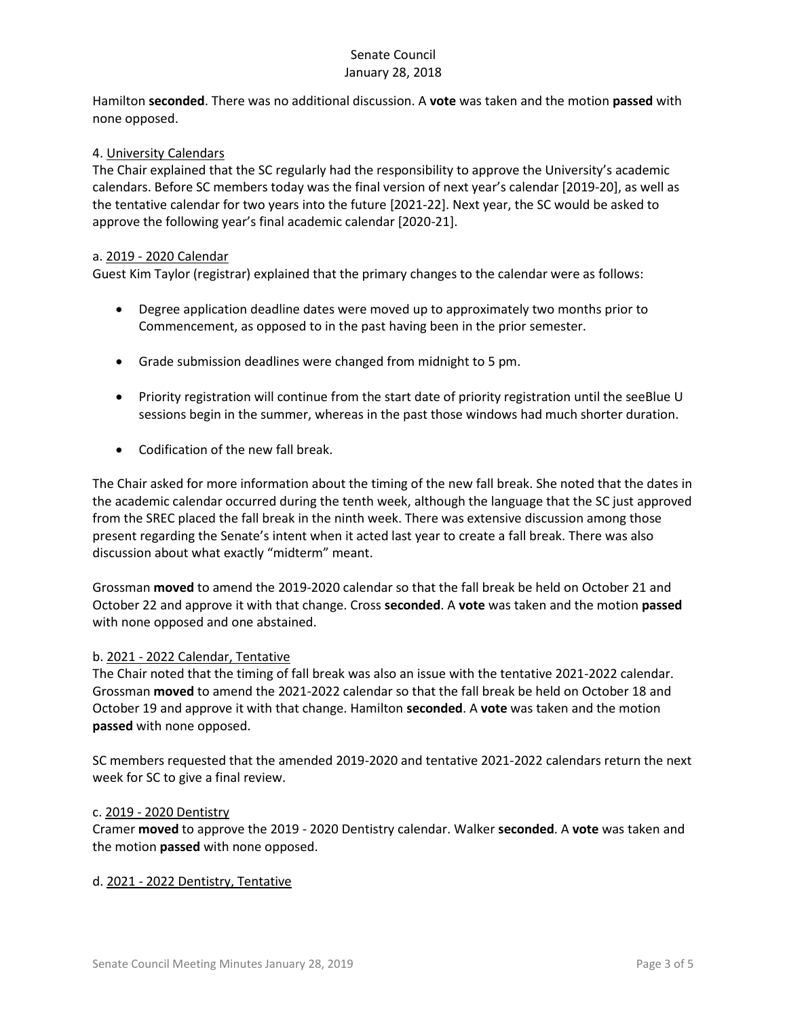Hamilton **seconded**. There was no additional discussion. A **vote** was taken and the motion **passed** with none opposed.

## 4. University Calendars

The Chair explained that the SC regularly had the responsibility to approve the University's academic calendars. Before SC members today was the final version of next year's calendar [2019-20], as well as the tentative calendar for two years into the future [2021-22]. Next year, the SC would be asked to approve the following year's final academic calendar [2020-21].

## a. 2019 - 2020 Calendar

Guest Kim Taylor (registrar) explained that the primary changes to the calendar were as follows:

- Degree application deadline dates were moved up to approximately two months prior to Commencement, as opposed to in the past having been in the prior semester.
- Grade submission deadlines were changed from midnight to 5 pm.
- Priority registration will continue from the start date of priority registration until the seeBlue U sessions begin in the summer, whereas in the past those windows had much shorter duration.
- Codification of the new fall break.

The Chair asked for more information about the timing of the new fall break. She noted that the dates in the academic calendar occurred during the tenth week, although the language that the SC just approved from the SREC placed the fall break in the ninth week. There was extensive discussion among those present regarding the Senate's intent when it acted last year to create a fall break. There was also discussion about what exactly "midterm" meant.

Grossman **moved** to amend the 2019-2020 calendar so that the fall break be held on October 21 and October 22 and approve it with that change. Cross **seconded**. A **vote** was taken and the motion **passed**  with none opposed and one abstained.

### b. 2021 - 2022 Calendar, Tentative

The Chair noted that the timing of fall break was also an issue with the tentative 2021-2022 calendar. Grossman **moved** to amend the 2021-2022 calendar so that the fall break be held on October 18 and October 19 and approve it with that change. Hamilton **seconded**. A **vote** was taken and the motion **passed** with none opposed.

SC members requested that the amended 2019-2020 and tentative 2021-2022 calendars return the next week for SC to give a final review.

#### c. 2019 - 2020 Dentistry

Cramer **moved** to approve the 2019 - 2020 Dentistry calendar. Walker **seconded**. A **vote** was taken and the motion **passed** with none opposed.

#### d. 2021 - 2022 Dentistry, Tentative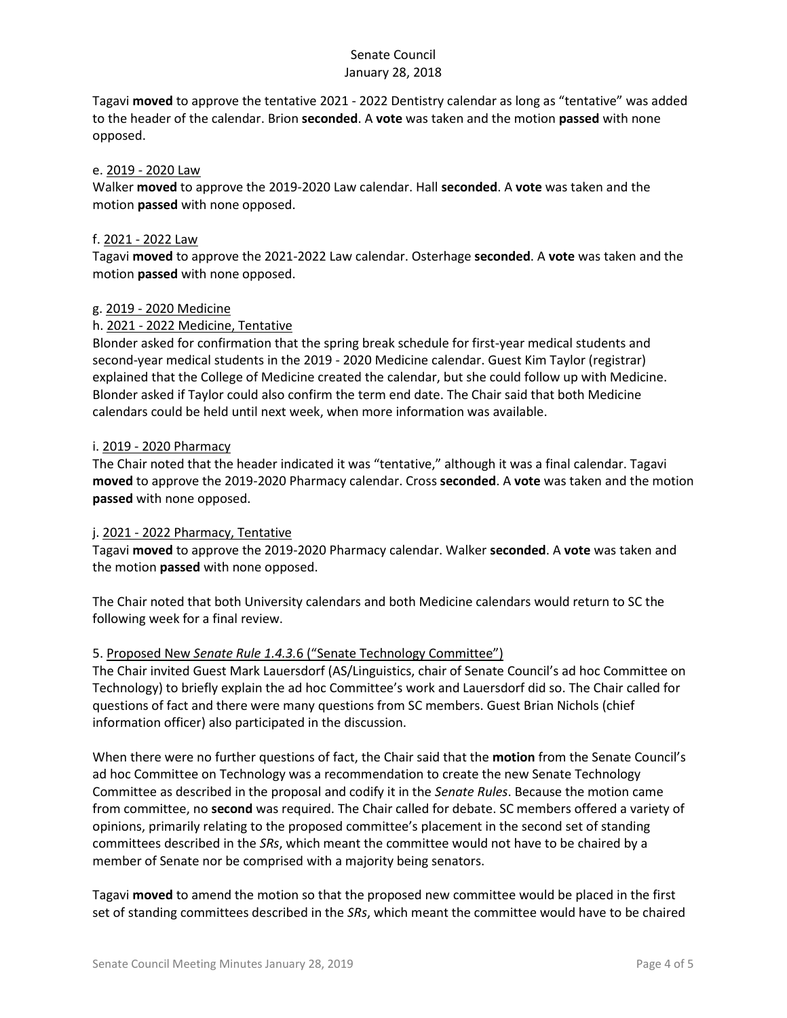Tagavi **moved** to approve the tentative 2021 - 2022 Dentistry calendar as long as "tentative" was added to the header of the calendar. Brion **seconded**. A **vote** was taken and the motion **passed** with none opposed.

### e. 2019 - 2020 Law

Walker **moved** to approve the 2019-2020 Law calendar. Hall **seconded**. A **vote** was taken and the motion **passed** with none opposed.

### f. 2021 - 2022 Law

Tagavi **moved** to approve the 2021-2022 Law calendar. Osterhage **seconded**. A **vote** was taken and the motion **passed** with none opposed.

### g. 2019 - 2020 Medicine

### h. 2021 - 2022 Medicine, Tentative

Blonder asked for confirmation that the spring break schedule for first-year medical students and second-year medical students in the 2019 - 2020 Medicine calendar. Guest Kim Taylor (registrar) explained that the College of Medicine created the calendar, but she could follow up with Medicine. Blonder asked if Taylor could also confirm the term end date. The Chair said that both Medicine calendars could be held until next week, when more information was available.

### i. 2019 - 2020 Pharmacy

The Chair noted that the header indicated it was "tentative," although it was a final calendar. Tagavi **moved** to approve the 2019-2020 Pharmacy calendar. Cross **seconded**. A **vote** was taken and the motion **passed** with none opposed.

### j. 2021 - 2022 Pharmacy, Tentative

Tagavi **moved** to approve the 2019-2020 Pharmacy calendar. Walker **seconded**. A **vote** was taken and the motion **passed** with none opposed.

The Chair noted that both University calendars and both Medicine calendars would return to SC the following week for a final review.

### 5. Proposed New *Senate Rule 1.4.3.*6 ("Senate Technology Committee")

The Chair invited Guest Mark Lauersdorf (AS/Linguistics, chair of Senate Council's ad hoc Committee on Technology) to briefly explain the ad hoc Committee's work and Lauersdorf did so. The Chair called for questions of fact and there were many questions from SC members. Guest Brian Nichols (chief information officer) also participated in the discussion.

When there were no further questions of fact, the Chair said that the **motion** from the Senate Council's ad hoc Committee on Technology was a recommendation to create the new Senate Technology Committee as described in the proposal and codify it in the *Senate Rules*. Because the motion came from committee, no **second** was required. The Chair called for debate. SC members offered a variety of opinions, primarily relating to the proposed committee's placement in the second set of standing committees described in the *SRs*, which meant the committee would not have to be chaired by a member of Senate nor be comprised with a majority being senators.

Tagavi **moved** to amend the motion so that the proposed new committee would be placed in the first set of standing committees described in the *SRs*, which meant the committee would have to be chaired